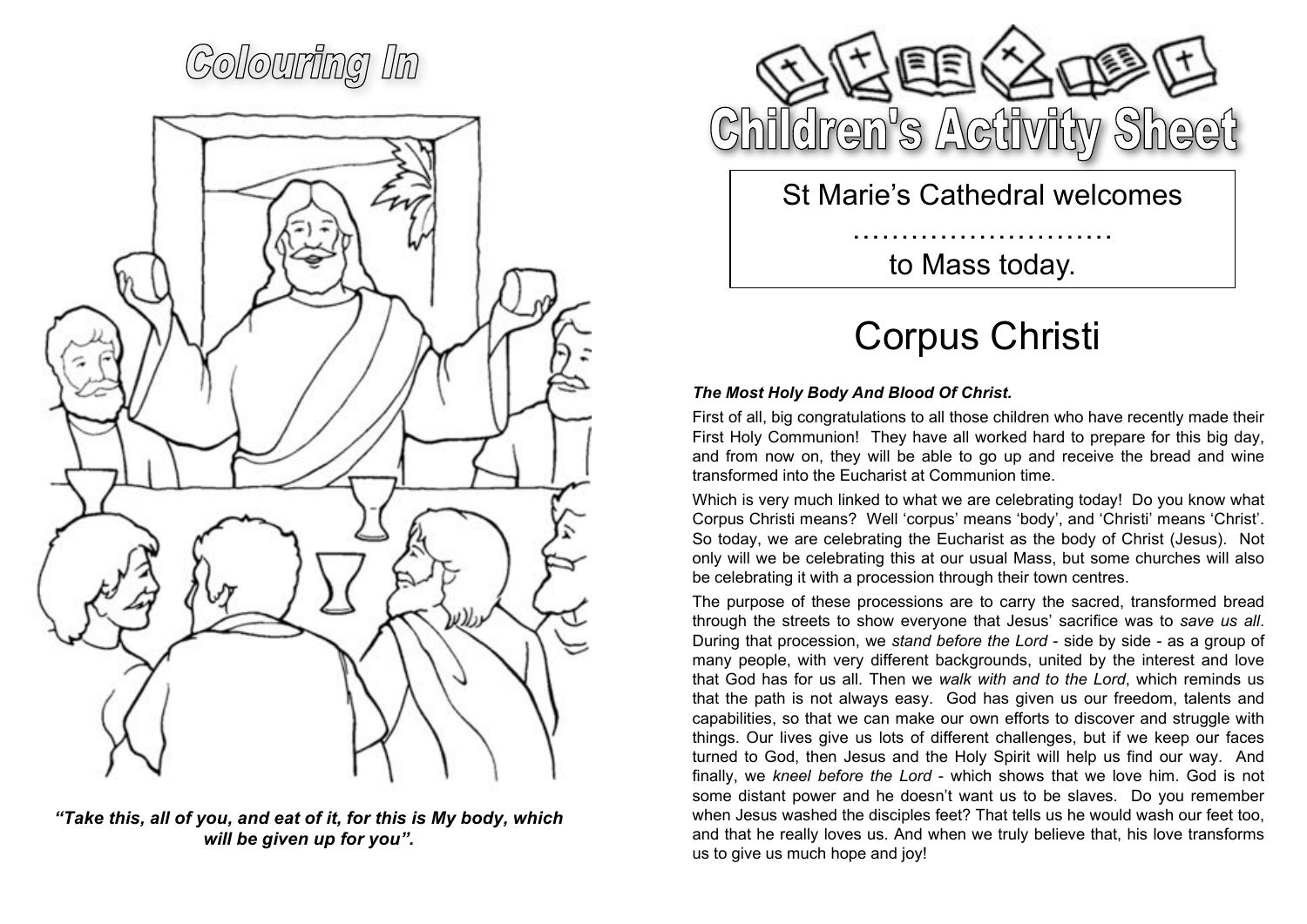## Colouring In



*"Take this, all of you, and eat of it, for this is My body, which will be given up for you".*



St Marie's Cathedral welcomes

……………………… to Mass today.

## Corpus Christi

## *The Most Holy Body And Blood Of Christ.*

First of all, big congratulations to all those children who have recently made their First Holy Communion! They have all worked hard to prepare for this big day, and from now on, they will be able to go up and receive the bread and wine transformed into the Eucharist at Communion time.

Which is very much linked to what we are celebrating today! Do you know what Corpus Christi means? Well 'corpus' means 'body', and 'Christi' means 'Christ'. So today, we are celebrating the Eucharist as the body of Christ (Jesus). Not only will we be celebrating this at our usual Mass, but some churches will also be celebrating it with a procession through their town centres.

The purpose of these processions are to carry the sacred, transformed bread through the streets to show everyone that Jesus' sacrifice was to *save us all*. During that procession, we *stand before the Lord* - side by side - as a group of many people, with very different backgrounds, united by the interest and love that God has for us all. Then we *walk with and to the Lord*, which reminds us that the path is not always easy. God has given us our freedom, talents and capabilities, so that we can make our own efforts to discover and struggle with things. Our lives give us lots of different challenges, but if we keep our faces turned to God, then Jesus and the Holy Spirit will help us find our way. And finally, we *kneel before the Lord* - which shows that we love him. God is not some distant power and he doesn't want us to be slaves. Do you remember when Jesus washed the disciples feet? That tells us he would wash our feet too, and that he really loves us. And when we truly believe that, his love transforms us to give us much hope and joy!